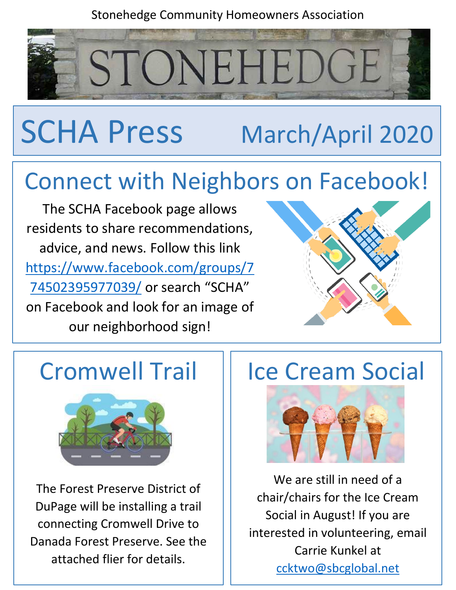#### Stonehedge Community Homeowners Association

STONEHEDGE

# SCHA Press March/April 2020

## Connect with Neighbors on Facebook!

The SCHA Facebook page allows residents to share recommendations, advice, and news. Follow this link [https://www.facebook.com/groups/7](https://www.facebook.com/groups/774502395977039/) [74502395977039/](https://www.facebook.com/groups/774502395977039/) or search "SCHA" on Facebook and look for an image of our neighborhood sign!





The Forest Preserve District of DuPage will be installing a trail connecting Cromwell Drive to Danada Forest Preserve. See the attached flier for details.

## Cromwell Trail | Ice Cream Social



We are still in need of a chair/chairs for the Ice Cream Social in August! If you are interested in volunteering, email Carrie Kunkel at [ccktwo@sbcglobal.net](mailto:ccktwo@sbcglobal.net)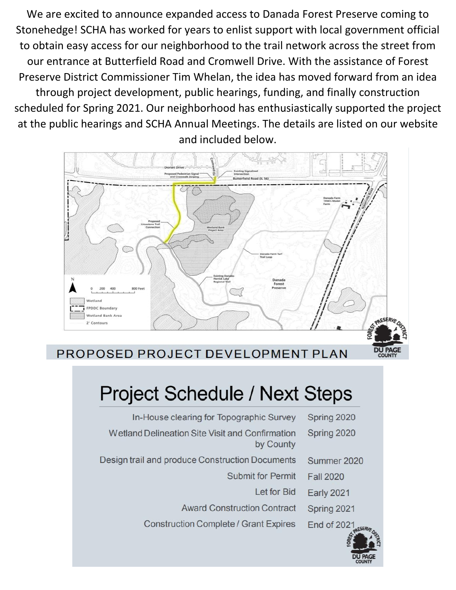We are excited to announce expanded access to Danada Forest Preserve coming to Stonehedge! SCHA has worked for years to enlist support with local government official to obtain easy access for our neighborhood to the trail network across the street from our entrance at Butterfield Road and Cromwell Drive. With the assistance of Forest Preserve District Commissioner Tim Whelan, the idea has moved forward from an idea through project development, public hearings, funding, and finally construction scheduled for Spring 2021. Our neighborhood has enthusiastically supported the project at the public hearings and SCHA Annual Meetings. The details are listed on our website and included below.



PROPOSED PROJECT DEVELOPMENT PLAN

### **Project Schedule / Next Steps**

| Spring 2020        | In-House clearing for Topographic Survey                     |
|--------------------|--------------------------------------------------------------|
| Spring 2020        | Wetland Delineation Site Visit and Confirmation<br>by County |
| Summer 2020        | Design trail and produce Construction Documents              |
| <b>Fall 2020</b>   | <b>Submit for Permit</b>                                     |
| <b>Early 2021</b>  | Let for Bid                                                  |
| Spring 2021        | <b>Award Construction Contract</b>                           |
| <b>End of 2021</b> | <b>Construction Complete / Grant Expires</b>                 |
|                    |                                                              |



**DU PAGE**